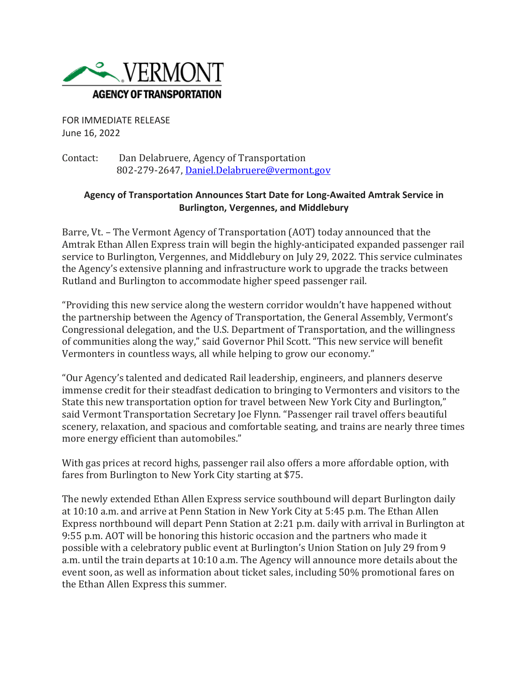

FOR IMMEDIATE RELEASE June 16, 2022

Contact: Dan Delabruere, Agency of Transportation 802-279-2647, [Daniel.Delabruere@vermont.gov](mailto:Daniel.Delabruere@vermont.gov)

## **Agency of Transportation Announces Start Date for Long-Awaited Amtrak Service in Burlington, Vergennes, and Middlebury**

Barre, Vt. – The Vermont Agency of Transportation (AOT) today announced that the Amtrak Ethan Allen Express train will begin the highly-anticipated expanded passenger rail service to Burlington, Vergennes, and Middlebury on July 29, 2022. This service culminates the Agency's extensive planning and infrastructure work to upgrade the tracks between Rutland and Burlington to accommodate higher speed passenger rail.

"Providing this new service along the western corridor wouldn't have happened without the partnership between the Agency of Transportation, the General Assembly, Vermont's Congressional delegation, and the U.S. Department of Transportation, and the willingness of communities along the way," said Governor Phil Scott. "This new service will benefit Vermonters in countless ways, all while helping to grow our economy."

"Our Agency's talented and dedicated Rail leadership, engineers, and planners deserve immense credit for their steadfast dedication to bringing to Vermonters and visitors to the State this new transportation option for travel between New York City and Burlington," said Vermont Transportation Secretary Joe Flynn. "Passenger rail travel offers beautiful scenery, relaxation, and spacious and comfortable seating, and trains are nearly three times more energy efficient than automobiles."

With gas prices at record highs, passenger rail also offers a more affordable option, with fares from Burlington to New York City starting at \$75.

The newly extended Ethan Allen Express service southbound will depart Burlington daily at 10:10 a.m. and arrive at Penn Station in New York City at 5:45 p.m. The Ethan Allen Express northbound will depart Penn Station at 2:21 p.m. daily with arrival in Burlington at 9:55 p.m. AOT will be honoring this historic occasion and the partners who made it possible with a celebratory public event at Burlington's Union Station on July 29 from 9 a.m. until the train departs at 10:10 a.m. The Agency will announce more details about the event soon, as well as information about ticket sales, including 50% promotional fares on the Ethan Allen Express this summer.